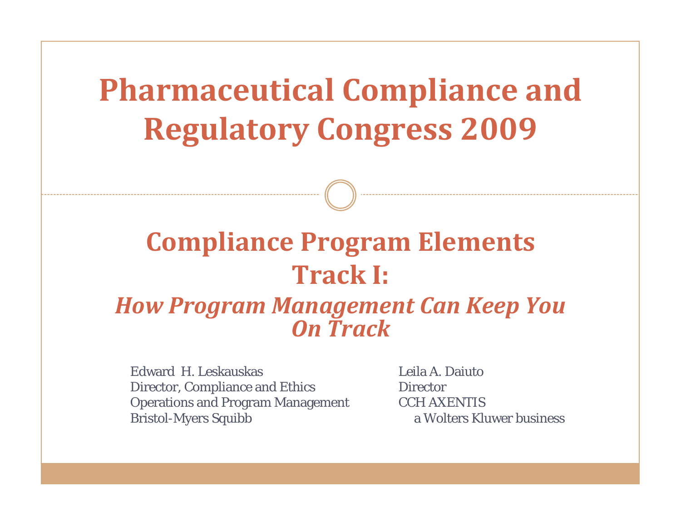**Pharmaceutical Compliance and Regulatory Congress 2009**

# **Compliance Program Elements Track I:** *How Program Management Can Keep You On Track*

Edward H. LeskauskasDirector, Compliance and Ethics Operations and Program Management Bristol-Myers Squibb

Leila A. Daiuto**Director** CCH AXENTISa Wolters Kluwer business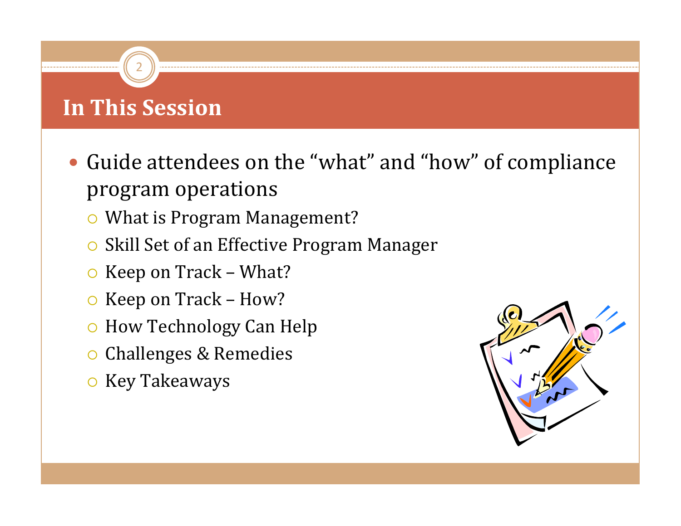# **In This Session**

- Guide attendees on the "what" and "how" of compliance program operations
	- $\circ$  What is Program Management?
	- $\circ$ Skill Set of an Effective Program Manager
	- $\circ$  Keep on Track What?
	- ${\mathsf O}$ Keep on Track – How?
	- ${\circ}$ How Technology Can Help
	- **O Challenges & Remedies**
	- **O** Key Takeaways

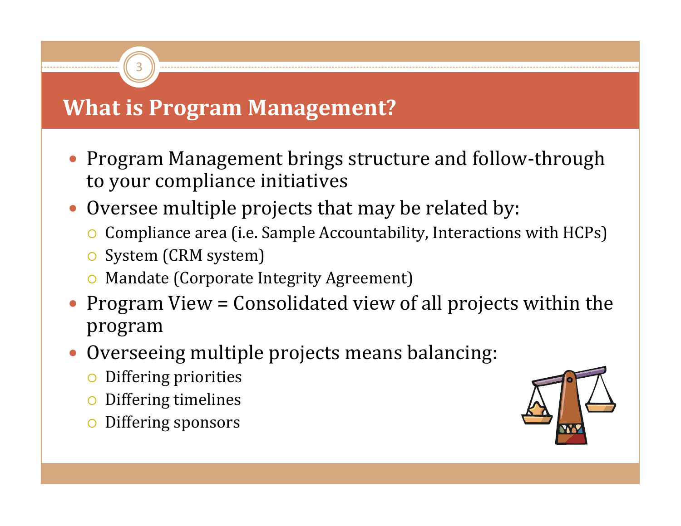### **What is Program Management?**

- Program Management brings structure and follow-through to your compliance initiatives
- Oversee multiple projects that may be related by:
	- $\circ$  Compliance area (i.e. Sample Accountability, Interactions with HCPs)
	- **O** System (CRM system)

- **O** Mandate (Corporate Integrity Agreement)
- Program View = Consolidated view of all projects within the program
- Overseeing multiple projects means balancing:
	- ${\mathsf O}$ Differing priorities
	- ${\mathsf O}$ Differing timelines
	- ${\color{black} \bigcirc}$ Differing sponsors

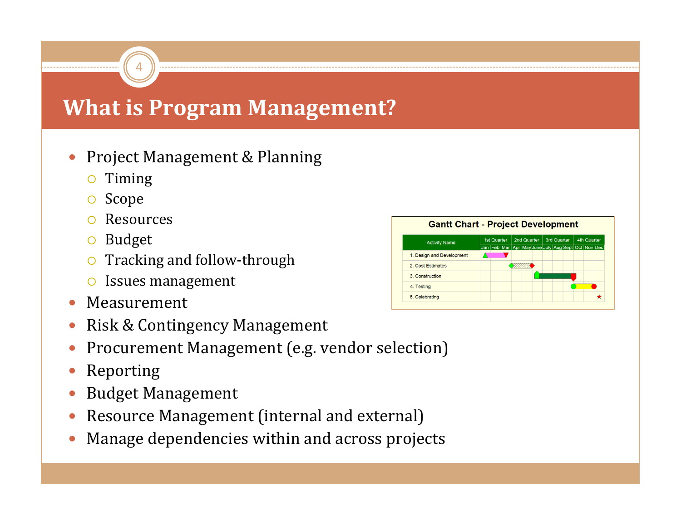### **What is Program Management?**

#### $\bullet$ Project Management & Planning

- ${\color{black} \bigcirc}$ Timing
- { Scope
- ${\color{black} \bigcirc}$ Resources

- **o** Budget
- Tracking and follow-through
- **O** Issues management
- $\bullet$ Measurement
- $\bullet$ Risk & Contingency Management
- $\bullet$ Procurement Management (e.g. vendor selection)
- $\bullet$ Reporting
- $\bullet$ Budget Management
- $\bullet$ Resource Management (internal and external)
- $\bullet$ Manage dependencies within and across projects

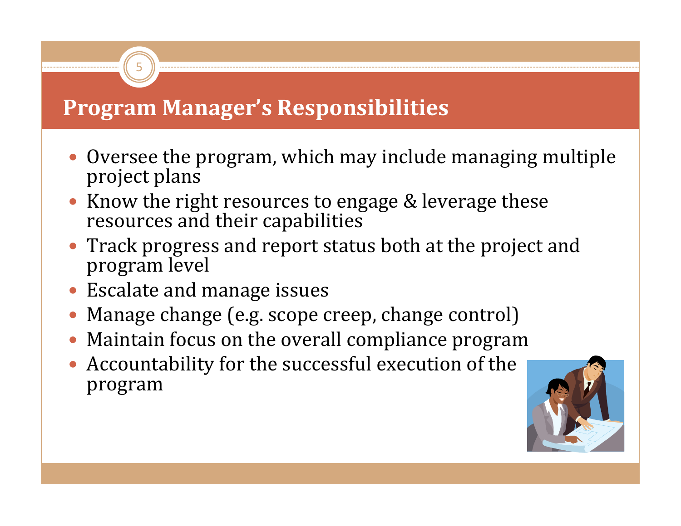## **Program Manager's Responsibilities**

- Oversee the program, which may include managing multiple project plans
- Know the right resources to engage & leverage these resources and their capabilities
- Track progress and report status both at the project and program level
- **Escalate and manage issues**

- $\bullet$ Manage change (e.g. scope creep, change control)
- Maintain focus on the overall compliance program
- Accountability for the successful execution of the  $\blacksquare$ program

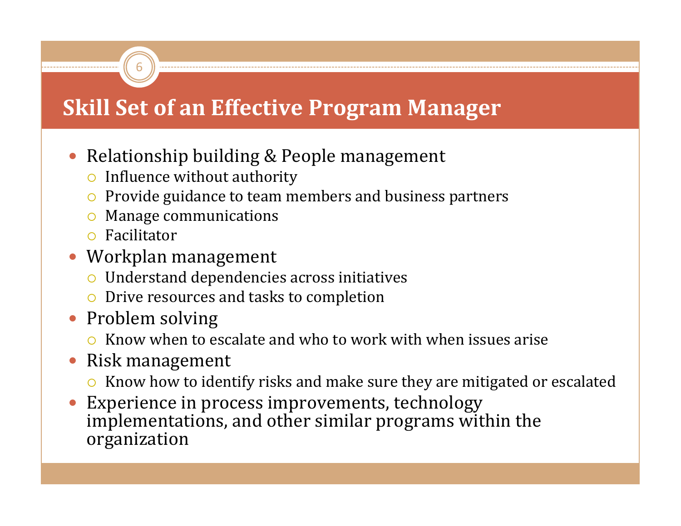# **Skill Set of an Effective Program Manager**

- Relationship building & People management
	- $\circ$  Influence without authority
	- $\bullet$  Provide guidance to team members and business partners
	- ${\color{black} \bigcirc}$ Manage communications
	- **O** Facilitator

- Workplan management
	- $\circ$  Understand dependencies across initiatives
	- **•** Drive resources and tasks to completion
- Problem solving
	- $\circ$  Know when to escalate and who to work with when issues arise
- $\bullet$  Risk management
	- $\bullet$  Know how to identify risks and make sure they are mitigated or escalated
- $\bullet$  Experience in process improvements, technology implementations, and other similar programs within the organization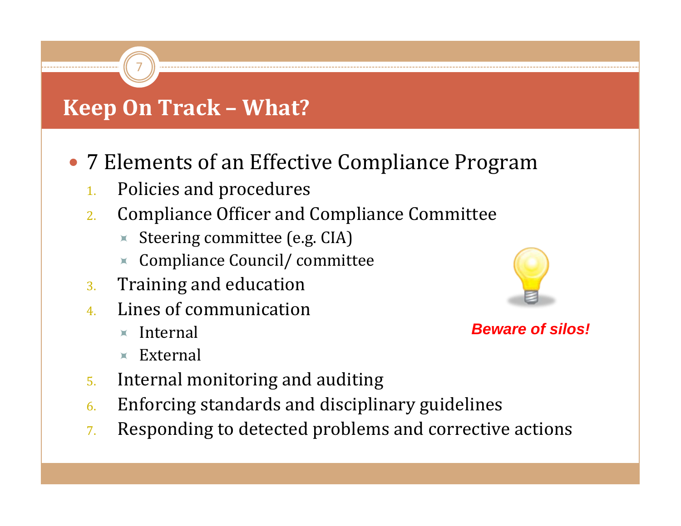# **Keep On Track – What?**

7

- 7 Elements of an Effective Compliance Program
	- 1.Policies and procedures
	- 2. Compliance Officer and Compliance Committee
		- $\star$  Steering committee (e.g. CIA)
		- $\triangleleft$  Compliance Council/ committee
	- 3.Training and education
	- 4. Lines of communication
		- $\times$  Internal
		- $\times$  External
	- 5.Internal monitoring and auditing
	- 6.Enforcing standards and disciplinary guidelines
	- 7.Responding to detected problems and corrective actions



#### *Beware of silos!*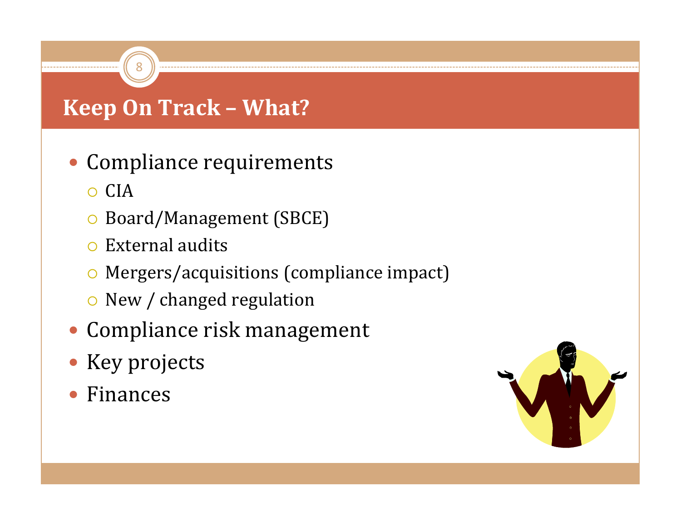# **Keep On Track – What?**

- Compliance requirements
	- $\circ$  CIA
	- **O** Board/Management (SBCE)
	- $\circ$  External audits

- { Mergers/acquisitions (compliance impact)
- $\circ$  New / changed regulation
- Compliance risk management
- Key projects
- Finances

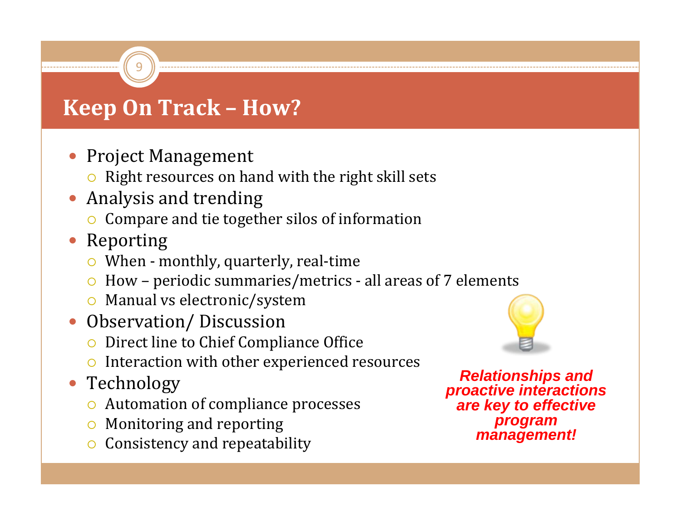• Project Management

9

- $\bullet$  Right resources on hand with the right skill sets
- $\bullet$  Analysis and trending
	- ${\color{black} \bigcirc}$ Compare and tie together silos of information
- Reporting
	- $\bullet$  When monthly, quarterly, real-time
	- $\bullet$  How periodic summaries/metrics all areas of 7 elements
	- **Manual vs electronic/system**
- $\bullet$  Observation/ Discussion
	- ${\color{black} \bigcirc}$ Direct line to Chief Compliance Office
	- $\circ$  Interaction with other experienced resources
- Technology
	- Automation of compliance processes
	- $\bullet$  Monitoring and reporting
	- ${\color{black} \bigcirc}$ Consistency and repeatability



*Relationships and proactive interactions are key to effective program management!*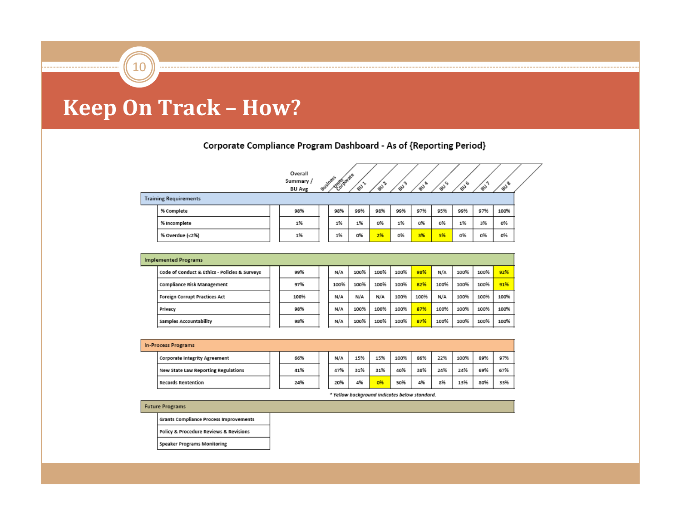10

#### Corporate Compliance Program Dashboard - As of {Reporting Period}

|                              |  | Overall<br>Summary /<br><b>BU Avg</b> |  | <b>Altopage</b><br>Business | చి  | ఘి  | ళీ  | ev <sup>a</sup> | న్నీ | మీ  | a.  | su <sup>B</sup> |  |
|------------------------------|--|---------------------------------------|--|-----------------------------|-----|-----|-----|-----------------|------|-----|-----|-----------------|--|
| <b>Training Requirements</b> |  |                                       |  |                             |     |     |     |                 |      |     |     |                 |  |
| % Complete                   |  | 98%                                   |  | 98%                         | 99% | 98% | 99% | 97%             | 95%  | 99% | 97% | 100%            |  |
| % Incomplete                 |  | 1%                                    |  | 1%                          | 1%  | 0%  | 1%  | 0%              | 0%   | 1%  | 3%  | 0%              |  |
| % Overdue (<2%)              |  | 1%                                    |  | 1%                          | 0%  | 2%  | 0%  | 3%              | 5%   | 0%  | 0%  | O%              |  |

| <b>Implemented Programs</b>                   |  |      |  |      |      |      |      |      |      |      |      |      |
|-----------------------------------------------|--|------|--|------|------|------|------|------|------|------|------|------|
| Code of Conduct & Ethics - Policies & Surveys |  | 99%  |  | N/A  | 100% | 100% | 100% | 98%  | N/A  | 100% | 100% | 92%  |
| <b>Compliance Risk Management</b>             |  | 97%  |  | 100% | 100% | 100% | 100% | 82%  | 100% | 100% | 100% | 91%  |
| Foreign Corrupt Practices Act                 |  | 100% |  | N/A  | N/A  | N/A  | 100% | 100% | N/A  | 100% | 100% | 100% |
| Privacy                                       |  | 98%  |  | N/A  | 100% | 100% | 100% | 87%  | 100% | 100% | 100% | 100% |
| Samples Accountability                        |  | 98%  |  | N/A  | 100% | 100% | 100% | 87%  | 100% | 100% | 100% | 100% |

| <b>In-Process Programs</b>          |  |     |  |     |     |     |      |     |     |      |     |     |
|-------------------------------------|--|-----|--|-----|-----|-----|------|-----|-----|------|-----|-----|
| Corporate Integrity Agreement       |  | 66% |  | N/A | 15% | 15% | 100% | 86% | 22% | 100% | 89% | 97% |
| New State Law Reporting Regulations |  | 41% |  | 47% | 31% | 31% | 40%  | 38% | 24% | 24%  | 69% | 67% |
| <b>Records Rentention</b>           |  | 24% |  | 20% | 4%  | 0%  | 50%  | 4%  | 8%  | 13%  | 80% | 33% |

\* Yellow background indicates below standard.

#### **Future Programs**

**Grants Compliance Process Improvements** 

Policy & Procedure Reviews & Revisions

**Speaker Programs Monitoring**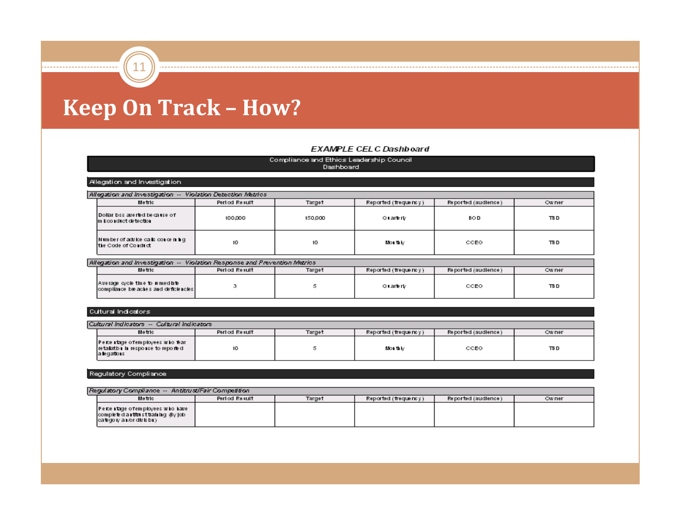11

#### **EXAMPLE CELC Dashboard**

| Compliance and Ethios Leadership Council<br>Dashboard                    |                                           |         |                      |                     |              |  |  |  |  |  |
|--------------------------------------------------------------------------|-------------------------------------------|---------|----------------------|---------------------|--------------|--|--|--|--|--|
|                                                                          |                                           |         |                      |                     |              |  |  |  |  |  |
| Allegation and Investigation.                                            |                                           |         |                      |                     |              |  |  |  |  |  |
|                                                                          |                                           |         |                      |                     |              |  |  |  |  |  |
| Allegation and Investigation -- Violation Detection Metrics              |                                           |         |                      |                     |              |  |  |  |  |  |
| Metric                                                                   | Period Result                             | Target  | Reported (frequency) | Reported (audience) | <b>Owner</b> |  |  |  |  |  |
| Dollar basaverted because of<br>im boo reluet detection                  | 100,000                                   | 150,000 | Quarterly            | <b>BOD</b>          | TB D         |  |  |  |  |  |
| Number of advice calls concerning<br>the Code of Conduct                 | 10                                        | 10      | Mortik⁄              | CCEO                | TB D         |  |  |  |  |  |
| Allegation and Investigation --                                          | Violation Response and Prevention Metrics |         |                      |                     |              |  |  |  |  |  |
| Period Result<br>Metric<br><b>Owner</b>                                  |                                           |         |                      |                     |              |  |  |  |  |  |
|                                                                          |                                           | Target  | Reported (frequency) | Reported (audience) |              |  |  |  |  |  |
| A verage cycle the to remediate<br>compilance be aches and deficiencies. | 3                                         | 5       | Quarterly            | CCEO                | TB D         |  |  |  |  |  |

#### Cultural Indicators

| Cultural Indicators -- Cultural Indicators                                             |               |        |                      |                     |        |  |  |  |  |  |  |
|----------------------------------------------------------------------------------------|---------------|--------|----------------------|---------------------|--------|--|--|--|--|--|--|
| Metric                                                                                 | Period Result | Target | Reported (frequency) | Reported (audience) | Ow ner |  |  |  |  |  |  |
| Percentage of employees who fear<br>retalath i in response to reporte d<br>a legations | 10.           |        | MOI U M              | CCEO                | TB D   |  |  |  |  |  |  |

#### Regulatory Compliance

| Regulatory Compliance -- Antitrust/Fair Competition                                                    |               |        |                      |                     |        |  |  |  |  |  |  |
|--------------------------------------------------------------------------------------------------------|---------------|--------|----------------------|---------------------|--------|--|--|--|--|--|--|
| Metric                                                                                                 | Period Result | Target | Reported (frequency) | Reported (audience) | Ow ner |  |  |  |  |  |  |
| Percentage of employees who have<br>complete dia rittrist training 16y job<br>category antor division) |               |        |                      |                     |        |  |  |  |  |  |  |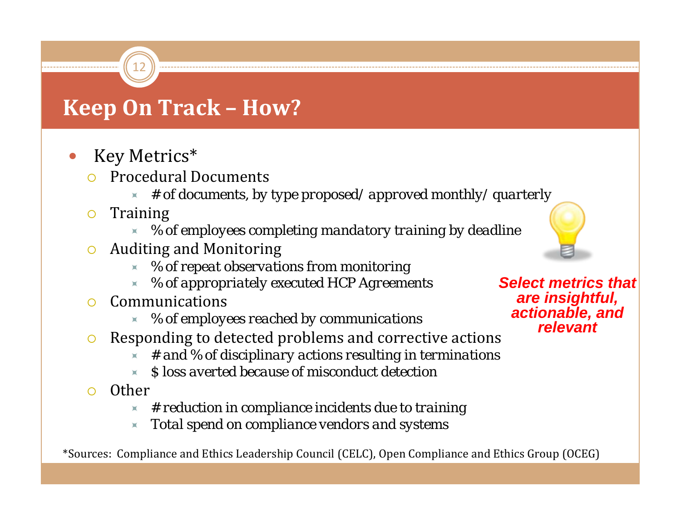$\bullet$ Key Metrics\*

12

- ${\color{black} \bigcirc}$  Procedural Documents
	- Ù*# of documents, by type proposed/ approved monthly/ quarterly*
- ${\color{black} \bigcirc}$  Training
	- Ù*% of employees completing mandatory training by deadline*
- ${\color{black} \bigcirc}$  Auditing and Monitoring
	- Ù*% of repeat observations from monitoring*
	- Ù*% of appropriately executed HCP Agreements*
- ${\color{black} \bigcirc}$  Communications
	- Ù*% of employees reached by communications*
- ${\color{black} \bigcirc}$  Responding to detected problems and corrective actions
	- Ù*# and % of disciplinary actions resulting in terminations*
	- Ù*\$ loss averted because of misconduct detection*
- ${\color{black} \bigcirc}$  Other
	- Ù*# reduction in compliance incidents due to training*
	- Ù*Total spend on compliance vendors and systems*

\*Sources: Compliance and Ethics Leadership Council (CELC), Open Compliance and Ethics Group (OCEG)



*Select metrics that are insightful, actionable, and relevant*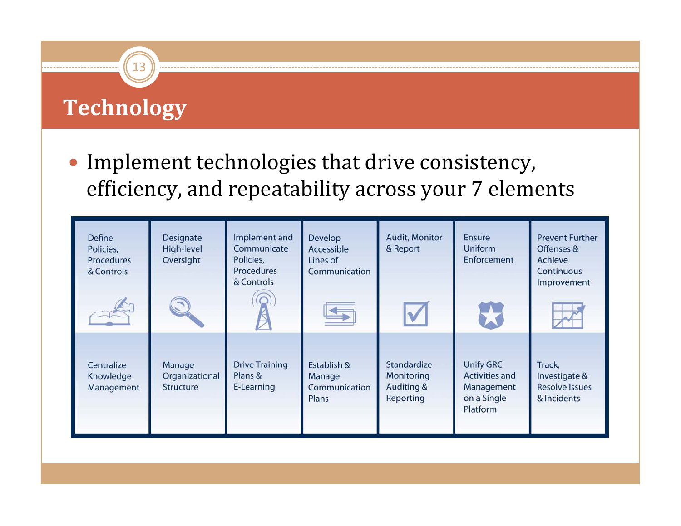# **Technology**

13

• Implement technologies that drive consistency, efficiency, and repeatability across your 7 elements

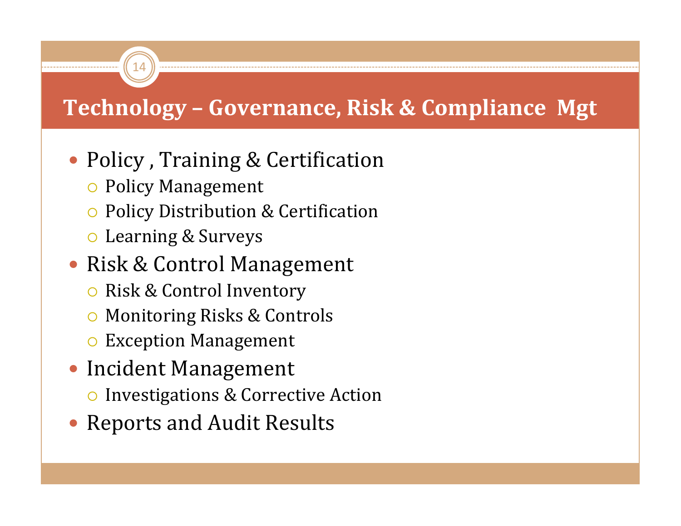# **Technology – Governance, Risk & Compliance Mgt**

- Policy, Training & Certification
	- **O** Policy Management

14

- { Policy Distribution & Certification
- ${\color{red} \circ}$  Learning & Surveys

# • Risk & Control Management

- **O** Risk & Control Inventory
- $\circ$ Monitoring Risks & Controls
- $\bullet\,$  Exception Management
- **Incident Management** 
	- **O** Investigations & Corrective Action
- Reports and Audit Results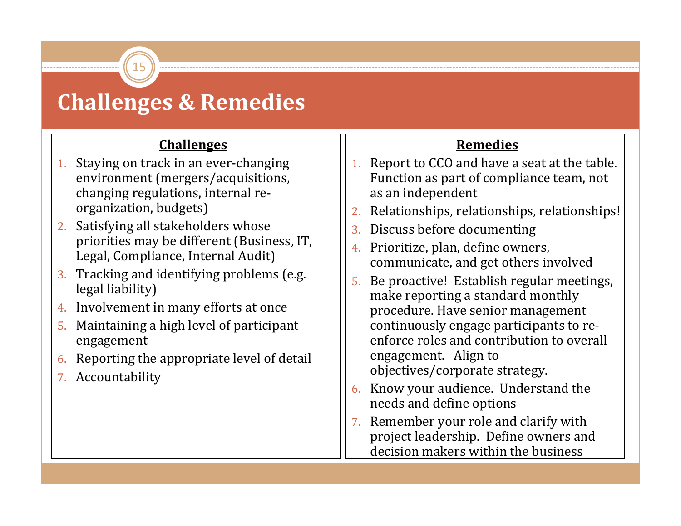## **Challenges & Remedies**

15

#### **Challenges**

- 1. Staying on track in an ever‐changing environment (mergers/acquisitions, changing regulations, internal re‐ organization, budgets)
- 2. Satisfying all stakeholders whose priorities may be different (Business, IT, Legal, Compliance, Internal Audit)
- 3. Tracking and identifying problems (e.g. legal liability)
- 4. Involvement in many efforts at once
- 5. Maintaining a high level of participant engagement
- 6.Reporting the appropriate level of detail
- 7. Accountability

#### **Remedies**

- 1. Report to CCO and have a seat at the table. Function as part of compliance team, not as an independent
- 2.Relationships, relationships, relationships!
- 3.Discuss before documenting
- 4. Prioritize, plan, define owners, communicate, and get others involved
- 5. Be proactive! Establish regular meetings, make reporting a standard monthly procedure. Have senior management continuously engage participants to re‐ enforce roles and contribution to overall engagement. Align to objectives/corporate strategy.
- 6. Know your audience. Understand the needs and define options
- 7. Remember your role and clarify with project leadership. Define owners and decision makers within the business